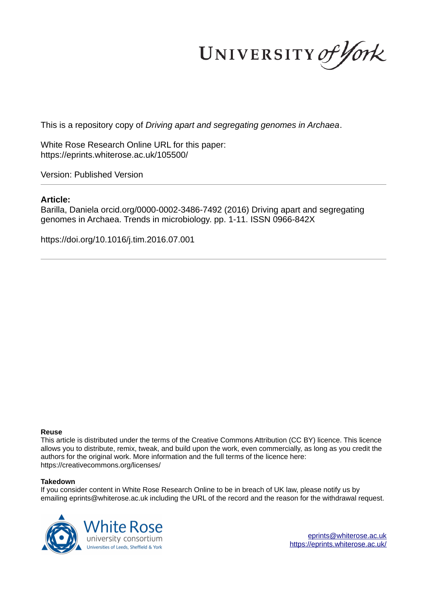UNIVERSITY of York

This is a repository copy of *Driving apart and segregating genomes in Archaea*.

White Rose Research Online URL for this paper: https://eprints.whiterose.ac.uk/105500/

Version: Published Version

## **Article:**

Barilla, Daniela orcid.org/0000-0002-3486-7492 (2016) Driving apart and segregating genomes in Archaea. Trends in microbiology. pp. 1-11. ISSN 0966-842X

https://doi.org/10.1016/j.tim.2016.07.001

### **Reuse**

This article is distributed under the terms of the Creative Commons Attribution (CC BY) licence. This licence allows you to distribute, remix, tweak, and build upon the work, even commercially, as long as you credit the authors for the original work. More information and the full terms of the licence here: https://creativecommons.org/licenses/

### **Takedown**

If you consider content in White Rose Research Online to be in breach of UK law, please notify us by emailing eprints@whiterose.ac.uk including the URL of the record and the reason for the withdrawal request.



eprints@whiterose.ac.uk https://eprints.whiterose.ac.uk/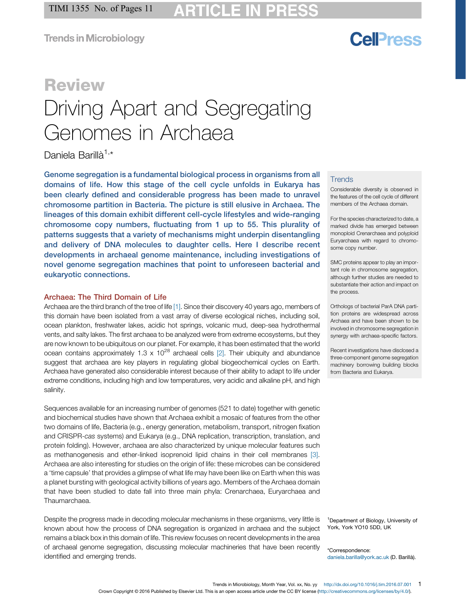# **CellPress**

# **Review** Driving Apart and Segregating Genomes in Archaea

Daniela Barillà<sup>1,\*</sup>

Genome segregation is a fundamental biological process in organisms from all domains of life. How this stage of the cell cycle unfolds in Eukarya has been clearly defined and considerable progress has been made to unravel chromosome partition in Bacteria. The picture is still elusive in Archaea. The lineages of this domain exhibit different cell-cycle lifestyles and wide-ranging chromosome copy numbers, fluctuating from 1 up to 55. This plurality of patterns suggests that a variety of mechanisms might underpin disentangling and delivery of DNA molecules to daughter cells. Here I describe recent developments in archaeal genome maintenance, including investigations of novel genome segregation machines that point to unforeseen bacterial and eukaryotic connections.

### Archaea: The Third Domain of Life

Archaea are the third branch of the tree of life [1]. Since their discovery 40 years ago, members of this domain have been isolated from a vast array of diverse ecological niches, including soil, ocean plankton, freshwater lakes, acidic hot springs, volcanic mud, deep-sea hydrothermal vents, and salty lakes. The first archaea to be analyzed were from extreme ecosystems, but they are now known to be ubiquitous on our planet. For example, it has been estimated that the world ocean contains approximately  $1.3 \times 10^{28}$  archaeal cells [2]. Their ubiquity and abundance suggest that archaea are key players in regulating global biogeochemical cycles on Earth. Archaea have generated also considerable interest because of their ability to adapt to life under extreme conditions, including high and low temperatures, very acidic and alkaline pH, and high salinity.

Sequences available for an increasing number of genomes (521 to date) together with genetic and biochemical studies have shown that Archaea exhibit a mosaic of features from the other two domains of life, Bacteria (e.g., energy generation, metabolism, transport, nitrogen fixation and CRISPR-cas systems) and Eukarya (e.g., DNA replication, transcription, translation, and protein folding). However, archaea are also characterized by unique molecular features such as methanogenesis and ether-linked isoprenoid lipid chains in their cell membranes [3]. Archaea are also interesting for studies on the origin of life: these microbes can be considered a 'time capsule' that provides a glimpse of what life may have been like on Earth when this was a planet bursting with geological activity billions of years ago. Members of the Archaea domain that have been studied to date fall into three main phyla: Crenarchaea, Euryarchaea and Thaumarchaea.

Despite the progress made in decoding molecular mechanisms in these organisms, very little is known about how the process of DNA segregation is organized in archaea and the subject remains a black box in this domain of life. This review focuses on recent developments in the area of archaeal genome segregation, discussing molecular machineries that have been recently identified and emerging trends.

### **Trends**

Considerable diversity is observed in the features of the cell cycle of different members of the Archaea domain.

For the species characterized to date, a marked divide has emerged between monoploid Crenarchaea and polyploid Euryarchaea with regard to chromosome copy number.

SMC proteins appear to play an important role in chromosome segregation, although further studies are needed to substantiate their action and impact on the process.

Orthologs of bacterial ParA DNA partition proteins are widespread across Archaea and have been shown to be involved in chromosome segregation in synergy with archaea-specific factors.

Recent investigations have disclosed a three-component genome segregation machinery borrowing building blocks from Bacteria and Eukarya.

<sup>1</sup>Department of Biology, University of York, York YO10 5DD, UK

\*Correspondence: daniela.barilla@york.ac.uk (D. Barillà).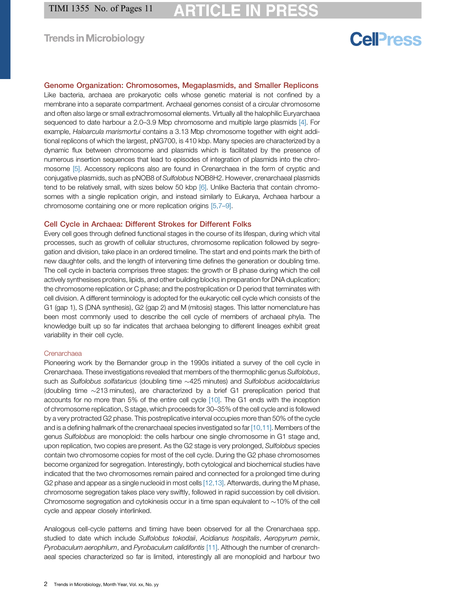# **ICLE**

# **Trends in Microbiology**

# **Cell**ress

### Genome Organization: Chromosomes, Megaplasmids, and Smaller Replicons

Like bacteria, archaea are prokaryotic cells whose genetic material is not confined by a membrane into a separate compartment. Archaeal genomes consist of a circular chromosome and often also large or small extrachromosomal elements. Virtually all the halophilic Euryarchaea sequenced to date harbour a 2.0–3.9 Mbp chromosome and multiple large plasmids [4]. For example, Haloarcula marismortui contains a 3.13 Mbp chromosome together with eight additional replicons of which the largest, pNG700, is 410 kbp. Many species are characterized by a dynamic flux between chromosome and plasmids which is facilitated by the presence of numerous insertion sequences that lead to episodes of integration of plasmids into the chromosome [5]. Accessory replicons also are found in Crenarchaea in the form of cryptic and conjugative plasmids, such as pNOB8 of Sulfolobus NOB8H2. However, crenarchaeal plasmids tend to be relatively small, with sizes below 50 kbp [6]. Unlike Bacteria that contain chromosomes with a single replication origin, and instead similarly to Eukarya, Archaea harbour a chromosome containing one or more replication origins [5,7–9].

### Cell Cycle in Archaea: Different Strokes for Different Folks

Every cell goes through defined functional stages in the course of its lifespan, during which vital processes, such as growth of cellular structures, chromosome replication followed by segregation and division, take place in an ordered timeline. The start and end points mark the birth of new daughter cells, and the length of intervening time defines the generation or doubling time. The cell cycle in bacteria comprises three stages: the growth or B phase during which the cell actively synthesises proteins, lipids, and other building blocks in preparation for DNA duplication; the chromosome replication or C phase; and the postreplication or D period that terminates with cell division. A different terminology is adopted for the eukaryotic cell cycle which consists of the G1 (gap 1), S (DNA synthesis), G2 (gap 2) and M (mitosis) stages. This latter nomenclature has been most commonly used to describe the cell cycle of members of archaeal phyla. The knowledge built up so far indicates that archaea belonging to different lineages exhibit great variability in their cell cycle.

### Crenarchaea

Pioneering work by the Bernander group in the 1990s initiated a survey of the cell cycle in Crenarchaea. These investigations revealed that members of the thermophilic genus Sulfolobus, such as Sulfolobus solfataricus (doubling time  $\sim$ 425 minutes) and Sulfolobus acidocaldarius (doubling time  $\sim$ 213 minutes), are characterized by a brief G1 prereplication period that accounts for no more than 5% of the entire cell cycle [10]. The G1 ends with the inception of chromosome replication, S stage, which proceeds for 30–35% of the cell cycle and is followed by a very protracted G2 phase. This postreplicative interval occupies more than 50% of the cycle and is a defining hallmark of the crenarchaeal species investigated so far [10,11]. Members of the genus Sulfolobus are monoploid: the cells harbour one single chromosome in G1 stage and, upon replication, two copies are present. As the G2 stage is very prolonged, Sulfolobus species contain two chromosome copies for most of the cell cycle. During the G2 phase chromosomes become organized for segregation. Interestingly, both cytological and biochemical studies have indicated that the two chromosomes remain paired and connected for a prolonged time during G2 phase and appear as a single nucleoid in most cells [12,13]. Afterwards, during the M phase, chromosome segregation takes place very swiftly, followed in rapid succession by cell division. Chromosome segregation and cytokinesis occur in a time span equivalent to  $~10\%$  of the cell cycle and appear closely interlinked.

Analogous cell-cycle patterns and timing have been observed for all the Crenarchaea spp. studied to date which include Sulfolobus tokodaii, Acidianus hospitalis, Aeropyrum pernix, Pyrobaculum aerophilum, and Pyrobaculum calidifontis [11]. Although the number of crenarchaeal species characterized so far is limited, interestingly all are monoploid and harbour two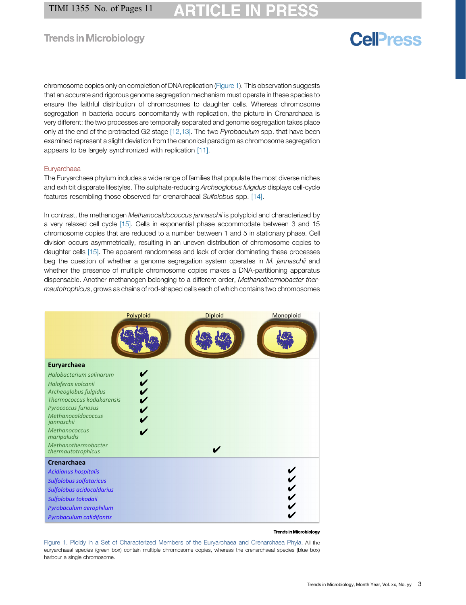## **Trends in Microbiology**

chromosome copies only on completion of DNA replication (Figure 1). This observation suggests that an accurate and rigorous genome segregation mechanism must operate in these species to ensure the faithful distribution of chromosomes to daughter cells. Whereas chromosome segregation in bacteria occurs concomitantly with replication, the picture in Crenarchaea is very different: the two processes are temporally separated and genome segregation takes place only at the end of the protracted G2 stage [12,13]. The two Pyrobaculum spp. that have been examined represent a slight deviation from the canonical paradigm as chromosome segregation appears to be largely synchronized with replication [11].

#### **Euryarchaea**

The Euryarchaea phylum includes a wide range of families that populate the most diverse niches and exhibit disparate lifestyles. The sulphate-reducing Archeoglobus fulgidus displays cell-cycle features resembling those observed for crenarchaeal Sulfolobus spp. [14].

In contrast, the methanogen Methanocaldococcus jannaschii is polyploid and characterized by a very relaxed cell cycle [15]. Cells in exponential phase accommodate between 3 and 15 chromosome copies that are reduced to a number between 1 and 5 in stationary phase. Cell division occurs asymmetrically, resulting in an uneven distribution of chromosome copies to daughter cells [15]. The apparent randomness and lack of order dominating these processes beg the question of whether a genome segregation system operates in M. jannaschii and whether the presence of multiple chromosome copies makes a DNA-partitioning apparatus dispensable. Another methanogen belonging to a different order, Methanothermobacter thermautotrophicus, grows as chains of rod-shaped cells each of which contains two chromosomes



#### **Trends in Microbiology**

Figure 1. Ploidy in a Set of Characterized Members of the Euryarchaea and Crenarchaea Phyla. All the euryarchaeal species (green box) contain multiple chromosome copies, whereas the crenarchaeal species (blue box) harbour a single chromosome.

# **Cell**ress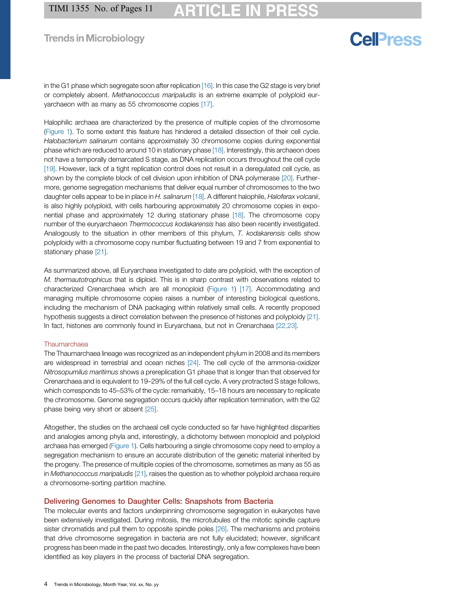# RTICLE

### **Trends in Microbiology**

# **Cell**<sub>ress</sub>

in the G1 phase which segregate soon after replication [16]. In this case the G2 stage is very brief or completely absent. Methanococcus maripaludis is an extreme example of polyploid euryarchaeon with as many as 55 chromosome copies [17].

Halophilic archaea are characterized by the presence of multiple copies of the chromosome (Figure 1). To some extent this feature has hindered a detailed dissection of their cell cycle. Halobacterium salinarum contains approximately 30 chromosome copies during exponential phase which are reduced to around 10 in stationary phase [18]. Interestingly, this archaeon does not have a temporally demarcated S stage, as DNA replication occurs throughout the cell cycle [19]. However, lack of a tight replication control does not result in a deregulated cell cycle, as shown by the complete block of cell division upon inhibition of DNA polymerase [20]. Furthermore, genome segregation mechanisms that deliver equal number of chromosomes to the two daughter cells appear to be in place in H. salinarum [18]. A different halophile, Haloferax volcanii, is also highly polyploid, with cells harbouring approximately 20 chromosome copies in exponential phase and approximately 12 during stationary phase [18]. The chromosome copy number of the euryarchaeon Thermococcus kodakarensis has also been recently investigated. Analogously to the situation in other members of this phylum, T. kodakarensis cells show polyploidy with a chromosome copy number fluctuating between 19 and 7 from exponential to stationary phase [21].

As summarized above, all Euryarchaea investigated to date are polyploid, with the exception of M. thermautotrophicus that is diploid. This is in sharp contrast with observations related to characterized Crenarchaea which are all monoploid (Figure 1) [17]. Accommodating and managing multiple chromosome copies raises a number of interesting biological questions, including the mechanism of DNA packaging within relatively small cells. A recently proposed hypothesis suggests a direct correlation between the presence of histones and polyploidy [21]. In fact, histones are commonly found in Euryarchaea, but not in Crenarchaea [22,23].

#### **Thaumarchaea**

The Thaumarchaea lineage was recognized as an independent phylum in 2008 and its members are widespread in terrestrial and ocean niches [24]. The cell cycle of the ammonia-oxidizer Nitrosopumilus maritimus shows a prereplication G1 phase that is longer than that observed for Crenarchaea and is equivalent to 19–29% of the full cell cycle. A very protracted S stage follows, which corresponds to 45–53% of the cycle: remarkably, 15–18 hours are necessary to replicate the chromosome. Genome segregation occurs quickly after replication termination, with the G2 phase being very short or absent [25].

Altogether, the studies on the archaeal cell cycle conducted so far have highlighted disparities and analogies among phyla and, interestingly, a dichotomy between monoploid and polyploid archaea has emerged (Figure 1). Cells harbouring a single chromosome copy need to employ a segregation mechanism to ensure an accurate distribution of the genetic material inherited by the progeny. The presence of multiple copies of the chromosome, sometimes as many as 55 as in Methanococcus maripaludis [21], raises the question as to whether polyploid archaea require a chromosome-sorting partition machine.

#### Delivering Genomes to Daughter Cells: Snapshots from Bacteria

The molecular events and factors underpinning chromosome segregation in eukaryotes have been extensively investigated. During mitosis, the microtubules of the mitotic spindle capture sister chromatids and pull them to opposite spindle poles [26]. The mechanisms and proteins that drive chromosome segregation in bacteria are not fully elucidated; however, significant progress has been made in the past two decades. Interestingly, only a few complexes have been identified as key players in the process of bacterial DNA segregation.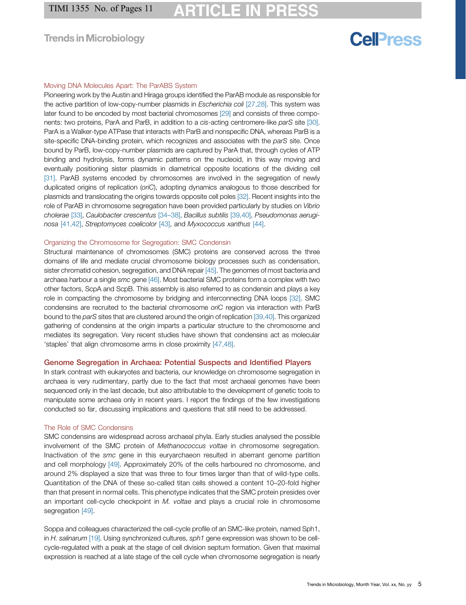# HOLE

# **Trends in Microbiology**

# **Cell**ress

#### Moving DNA Molecules Apart: The ParABS System

Pioneering work by the Austin and Hiraga groups identified the ParAB module as responsible for the active partition of low-copy-number plasmids in Escherichia coli [27,28]. This system was later found to be encoded by most bacterial chromosomes [29] and consists of three components: two proteins, ParA and ParB, in addition to a cis-acting centromere-like parS site [30]. ParA is a Walker-type ATPase that interacts with ParB and nonspecific DNA, whereas ParB is a site-specific DNA-binding protein, which recognizes and associates with the parS site. Once bound by ParB, low-copy-number plasmids are captured by ParA that, through cycles of ATP binding and hydrolysis, forms dynamic patterns on the nucleoid, in this way moving and eventually positioning sister plasmids in diametrical opposite locations of the dividing cell [31]. ParAB systems encoded by chromosomes are involved in the segregation of newly duplicated origins of replication (oriC), adopting dynamics analogous to those described for plasmids and translocating the origins towards opposite cell poles [32]. Recent insights into the role of ParAB in chromosome segregation have been provided particularly by studies on Vibrio cholerae [33], Caulobacter crescentus [34–38], Bacillus subtilis [39,40], Pseudomonas aeruginosa [41,42], Streptomyces coelicolor [43], and Myxococcus xanthus [44].

#### Organizing the Chromosome for Segregation: SMC Condensin

Structural maintenance of chromosomes (SMC) proteins are conserved across the three domains of life and mediate crucial chromosome biology processes such as condensation, sister chromatid cohesion, segregation, and DNA repair [45]. The genomes of most bacteria and archaea harbour a single smc gene [46]. Most bacterial SMC proteins form a complex with two other factors, ScpA and ScpB. This assembly is also referred to as condensin and plays a key role in compacting the chromosome by bridging and interconnecting DNA loops [32]. SMC condensins are recruited to the bacterial chromosome oriC region via interaction with ParB bound to the parS sites that are clustered around the origin of replication [39,40]. This organized gathering of condensins at the origin imparts a particular structure to the chromosome and mediates its segregation. Very recent studies have shown that condensins act as molecular 'staples' that align chromosome arms in close proximity [47,48].

### Genome Segregation in Archaea: Potential Suspects and Identified Players

In stark contrast with eukaryotes and bacteria, our knowledge on chromosome segregation in archaea is very rudimentary, partly due to the fact that most archaeal genomes have been sequenced only in the last decade, but also attributable to the development of genetic tools to manipulate some archaea only in recent years. I report the findings of the few investigations conducted so far, discussing implications and questions that still need to be addressed.

#### The Role of SMC Condensins

SMC condensins are widespread across archaeal phyla. Early studies analysed the possible involvement of the SMC protein of Methanococcus voltae in chromosome segregation. Inactivation of the smc gene in this euryarchaeon resulted in aberrant genome partition and cell morphology [49]. Approximately 20% of the cells harboured no chromosome, and around 2% displayed a size that was three to four times larger than that of wild-type cells. Quantitation of the DNA of these so-called titan cells showed a content 10–20-fold higher than that present in normal cells. This phenotype indicates that the SMC protein presides over an important cell-cycle checkpoint in M. voltae and plays a crucial role in chromosome segregation [49].

Soppa and colleagues characterized the cell-cycle profile of an SMC-like protein, named Sph1, in H. salinarum [19]. Using synchronized cultures, sph1 gene expression was shown to be cellcycle-regulated with a peak at the stage of cell division septum formation. Given that maximal expression is reached at a late stage of the cell cycle when chromosome segregation is nearly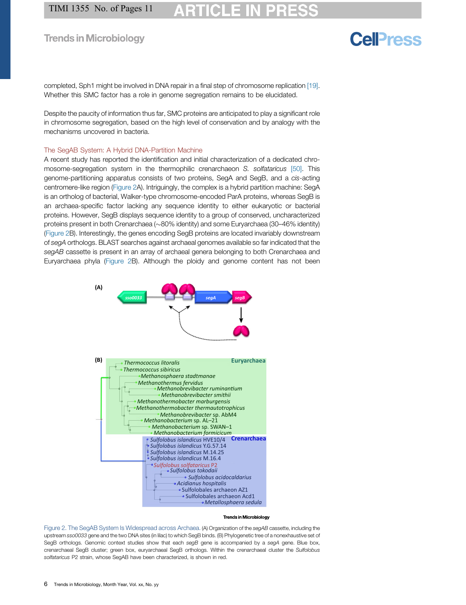# **Trends in Microbiology**

**Cell**ress

completed, Sph1 might be involved in DNA repair in a final step of chromosome replication [19]. Whether this SMC factor has a role in genome segregation remains to be elucidated.

Despite the paucity of information thus far, SMC proteins are anticipated to play a significant role in chromosome segregation, based on the high level of conservation and by analogy with the mechanisms uncovered in bacteria.

#### The SegAB System: A Hybrid DNA-Partition Machine

A recent study has reported the identification and initial characterization of a dedicated chromosome-segregation system in the thermophilic crenarchaeon S. solfataricus [50]. This genome-partitioning apparatus consists of two proteins, SegA and SegB, and a cis-acting centromere-like region (Figure 2A). Intriguingly, the complex is a hybrid partition machine: SegA is an ortholog of bacterial, Walker-type chromosome-encoded ParA proteins, whereas SegB is an archaea-specific factor lacking any sequence identity to either eukaryotic or bacterial proteins. However, SegB displays sequence identity to a group of conserved, uncharacterized proteins present in both Crenarchaea ( $\sim$ 80% identity) and some Euryarchaea (30–46% identity) (Figure 2B). Interestingly, the genes encoding SegB proteins are located invariably downstream of segA orthologs. BLAST searches against archaeal genomes available so far indicated that the segAB cassette is present in an array of archaeal genera belonging to both Crenarchaea and Euryarchaea phyla (Figure 2B). Although the ploidy and genome content has not been



#### **Trends in Microbiology**

Figure 2. The SegAB System Is Widespread across Archaea. (A) Organization of the segAB cassette, including the upstream sso0033 gene and the two DNA sites (in lilac) to which SegB binds. (B) Phylogenetic tree of a nonexhaustive set of SegB orthologs. Genomic context studies show that each segB gene is accompanied by a segA gene. Blue box, crenarchaeal SegB cluster; green box, euryarchaeal SegB orthologs. Within the crenarchaeal cluster the Sulfolobus solfataricus P2 strain, whose SegAB have been characterized, is shown in red.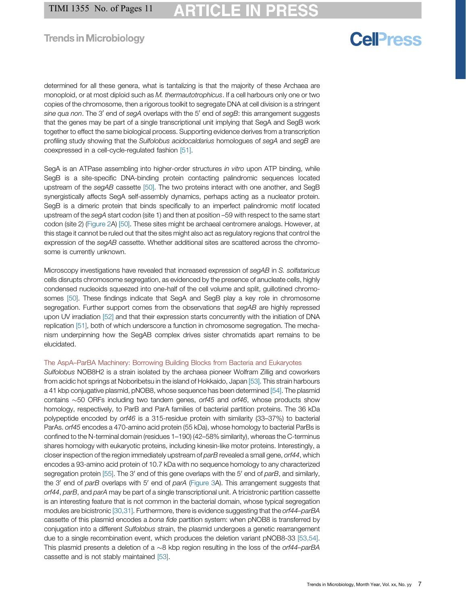## **Trends in Microbiology**

determined for all these genera, what is tantalizing is that the majority of these Archaea are monoploid, or at most diploid such as M. thermautotrophicus. If a cell harbours only one or two copies of the chromosome, then a rigorous toolkit to segregate DNA at cell division is a stringent sine qua non. The 3' end of segA overlaps with the  $5'$  end of segB: this arrangement suggests that the genes may be part of a single transcriptional unit implying that SegA and SegB work together to effect the same biological process. Supporting evidence derives from a transcription profiling study showing that the Sulfolobus acidocaldarius homologues of segA and segB are coexpressed in a cell-cycle-regulated fashion [51].

SegA is an ATPase assembling into higher-order structures in vitro upon ATP binding, while SegB is a site-specific DNA-binding protein contacting palindromic sequences located upstream of the segAB cassette [50]. The two proteins interact with one another, and SegB synergistically affects SegA self-assembly dynamics, perhaps acting as a nucleator protein. SegB is a dimeric protein that binds specifically to an imperfect palindromic motif located upstream of the segA start codon (site 1) and then at position –59 with respect to the same start codon (site 2) (Figure 2A) [50]. These sites might be archaeal centromere analogs. However, at this stage it cannot be ruled out that the sites might also act as regulatory regions that control the expression of the segAB cassette. Whether additional sites are scattered across the chromosome is currently unknown.

Microscopy investigations have revealed that increased expression of segAB in S. solfataricus cells disrupts chromosome segregation, as evidenced by the presence of anucleate cells, highly condensed nucleoids squeezed into one-half of the cell volume and split, guillotined chromosomes [50]. These findings indicate that SegA and SegB play a key role in chromosome segregation. Further support comes from the observations that segAB are highly repressed upon UV irradiation [52] and that their expression starts concurrently with the initiation of DNA replication [51], both of which underscore a function in chromosome segregation. The mechanism underpinning how the SegAB complex drives sister chromatids apart remains to be elucidated.

#### The AspA–ParBA Machinery: Borrowing Building Blocks from Bacteria and Eukaryotes

Sulfolobus NOB8H2 is a strain isolated by the archaea pioneer Wolfram Zillig and coworkers from acidic hot springs at Noboribetsu in the island of Hokkaido, Japan [53]. This strain harbours a 41 kbp conjugative plasmid, pNOB8, whose sequence has been determined [54]. The plasmid contains  $~50$  ORFs including two tandem genes, orf45 and orf46, whose products show homology, respectively, to ParB and ParA families of bacterial partition proteins. The 36 kDa polypeptide encoded by orf46 is a 315-residue protein with similarity (33–37%) to bacterial ParAs. orf45 encodes a 470-amino acid protein (55 kDa), whose homology to bacterial ParBs is confined to the N-terminal domain (residues 1–190) (42–58% similarity), whereas the C-terminus shares homology with eukaryotic proteins, including kinesin-like motor proteins. Interestingly, a closer inspection of the region immediately upstream of parB revealed a small gene, orf44, which encodes a 93-amino acid protein of 10.7 kDa with no sequence homology to any characterized segregation protein  $[55]$ . The 3' end of this gene overlaps with the 5' end of parB, and similarly, the 3' end of parB overlaps with 5' end of parA (Figure 3A). This arrangement suggests that orf44, parB, and parA may be part of a single transcriptional unit. A tricistronic partition cassette is an interesting feature that is not common in the bacterial domain, whose typical segregation modules are bicistronic [30,31]. Furthermore, there is evidence suggesting that the orf44-parBA cassette of this plasmid encodes a bona fide partition system: when pNOB8 is transferred by conjugation into a different Sulfolobus strain, the plasmid undergoes a genetic rearrangement due to a single recombination event, which produces the deletion variant pNOB8-33 [53,54]. This plasmid presents a deletion of a  $\sim$ 8 kbp region resulting in the loss of the orf44–parBA cassette and is not stably maintained [53].

# **Cell**ress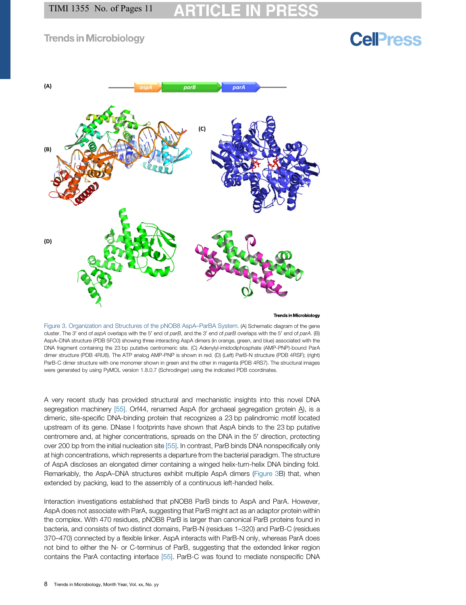### **Trends in Microbiology**

# **CellPress**



#### **Trends in Microbiology**

Figure 3. Organization and Structures of the pNOB8 AspA–ParBA System. (A) Schematic diagram of the gene cluster. The 3' end of aspA overlaps with the 5' end of parB, and the 3' end of parB overlaps with the 5' end of parA. (B) AspA–DNA structure (PDB 5FC0) showing three interacting AspA dimers (in orange, green, and blue) associated with the DNA fragment containing the 23 bp putative centromeric site. (C) Adenylyl-imidodiphosphate (AMP-PNP)-bound ParA dimer structure (PDB 4RU8). The ATP analog AMP-PNP is shown in red. (D) (Left) ParB-N structure (PDB 4RSF); (right) ParB-C dimer structure with one monomer shown in green and the other in magenta (PDB 4RS7). The structural images were generated by using PyMOL version 1.8.0.7 (Schrodinger) using the indicated PDB coordinates.

A very recent study has provided structural and mechanistic insights into this novel DNA segregation machinery [55]. Orf44, renamed AspA (for archaeal segregation protein A), is a dimeric, site-specific DNA-binding protein that recognizes a 23 bp palindromic motif located upstream of its gene. DNase I footprints have shown that AspA binds to the 23 bp putative centromere and, at higher concentrations, spreads on the DNA in the 5' direction, protecting over 200 bp from the initial nucleation site [55]. In contrast, ParB binds DNA nonspecifically only at high concentrations, which represents a departure from the bacterial paradigm. The structure of AspA discloses an elongated dimer containing a winged helix-turn-helix DNA binding fold. Remarkably, the AspA–DNA structures exhibit multiple AspA dimers (Figure 3B) that, when extended by packing, lead to the assembly of a continuous left-handed helix.

Interaction investigations established that pNOB8 ParB binds to AspA and ParA. However, AspA does not associate with ParA, suggesting that ParB might act as an adaptor protein within the complex. With 470 residues, pNOB8 ParB is larger than canonical ParB proteins found in bacteria, and consists of two distinct domains, ParB-N (residues 1–320) and ParB-C (residues 370–470) connected by a flexible linker. AspA interacts with ParB-N only, whereas ParA does not bind to either the N- or C-terminus of ParB, suggesting that the extended linker region contains the ParA contacting interface [55]. ParB-C was found to mediate nonspecific DNA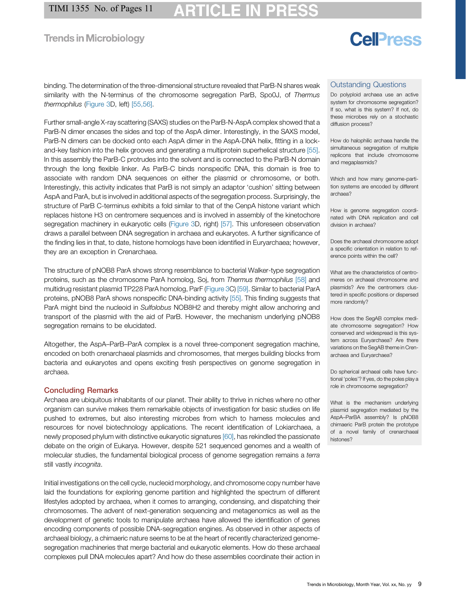# RTICLET

## **Trends in Microbiology**

# **CellPress**

binding. The determination of the three-dimensional structure revealed that ParB-N shares weak similarity with the N-terminus of the chromosome segregation ParB, Spo0J, of Thermus thermophilus (Figure 3D, left) [55,56].

Further small-angle X-ray scattering (SAXS) studies on the ParB-N-AspA complex showed that a ParB-N dimer encases the sides and top of the AspA dimer. Interestingly, in the SAXS model, ParB-N dimers can be docked onto each AspA dimer in the AspA-DNA helix, fitting in a lockand-key fashion into the helix grooves and generating a multiprotein superhelical structure [55]. In this assembly the ParB-C protrudes into the solvent and is connected to the ParB-N domain through the long flexible linker. As ParB-C binds nonspecific DNA, this domain is free to associate with random DNA sequences on either the plasmid or chromosome, or both. Interestingly, this activity indicates that ParB is not simply an adaptor 'cushion' sitting between AspA and ParA, but is involved in additional aspects of the segregation process. Surprisingly, the structure of ParB C-terminus exhibits a fold similar to that of the CenpA histone variant which replaces histone H3 on centromere sequences and is involved in assembly of the kinetochore segregation machinery in eukaryotic cells (Figure 3D, right) [57]. This unforeseen observation draws a parallel between DNA segregation in archaea and eukaryotes. A further significance of the finding lies in that, to date, histone homologs have been identified in Euryarchaea; however, they are an exception in Crenarchaea.

The structure of pNOB8 ParA shows strong resemblance to bacterial Walker-type segregation proteins, such as the chromosome ParA homolog, Soj, from Thermus thermophilus [58] and multidrug resistant plasmid TP228 ParA homolog, ParF (Figure 3C) [59]. Similar to bacterial ParA proteins, pNOB8 ParA shows nonspecific DNA-binding activity [55]. This finding suggests that ParA might bind the nucleoid in Sulfolobus NOB8H2 and thereby might allow anchoring and transport of the plasmid with the aid of ParB. However, the mechanism underlying pNOB8 segregation remains to be elucidated.

Altogether, the AspA–ParB–ParA complex is a novel three-component segregation machine, encoded on both crenarchaeal plasmids and chromosomes, that merges building blocks from bacteria and eukaryotes and opens exciting fresh perspectives on genome segregation in archaea.

### Concluding Remarks

Archaea are ubiquitous inhabitants of our planet. Their ability to thrive in niches where no other organism can survive makes them remarkable objects of investigation for basic studies on life pushed to extremes, but also interesting microbes from which to harness molecules and resources for novel biotechnology applications. The recent identification of Lokiarchaea, a newly proposed phylum with distinctive eukaryotic signatures [60], has rekindled the passionate debate on the origin of Eukarya. However, despite 521 sequenced genomes and a wealth of molecular studies, the fundamental biological process of genome segregation remains a terra still vastly incognita.

Initial investigations on the cell cycle, nucleoid morphology, and chromosome copy number have laid the foundations for exploring genome partition and highlighted the spectrum of different lifestyles adopted by archaea, when it comes to arranging, condensing, and dispatching their chromosomes. The advent of next-generation sequencing and metagenomics as well as the development of genetic tools to manipulate archaea have allowed the identification of genes encoding components of possible DNA-segregation engines. As observed in other aspects of archaeal biology, a chimaeric nature seems to be at the heart of recently characterized genomesegregation machineries that merge bacterial and eukaryotic elements. How do these archaeal complexes pull DNA molecules apart? And how do these assemblies coordinate their action in

### Outstanding Questions

Do polyploid archaea use an active system for chromosome segregation? If so, what is this system? If not, do these microbes rely on a stochastic diffusion process?

How do halophilic archaea handle the simultaneous segregation of multiple replicons that include chromosome and megaplasmids?

Which and how many genome-partition systems are encoded by different archaea?

How is genome segregation coordinated with DNA replication and cell division in archaea?

Does the archaeal chromosome adopt a specific orientation in relation to reference points within the cell?

What are the characteristics of centromeres on archaeal chromosome and plasmids? Are the centromers clustered in specific positions or dispersed more randomly?

How does the SegAB complex mediate chromosome segregation? How conserved and widespread is this system across Euryarchaea? Are there variations on the SegAB theme in Crenarchaea and Euryarchaea?

Do spherical archaeal cells have functional 'poles'? If yes, do the poles play a role in chromosome segregation?

What is the mechanism underlying plasmid segregation mediated by the AspA–ParBA assembly? Is pNOB8 chimaeric ParB protein the prototype of a novel family of crenarchaeal histones?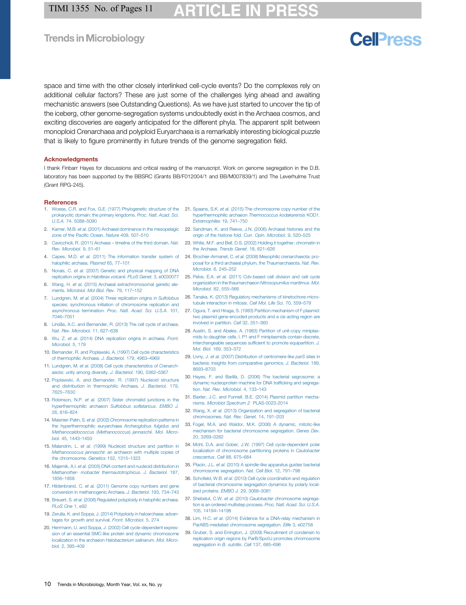# **Trends in Microbiology**

space and time with the other closely interlinked cell-cycle events? Do the complexes rely on additional cellular factors? These are just some of the challenges lying ahead and awaiting mechanistic answers (see Outstanding Questions). As we have just started to uncover the tip of the iceberg, other genome-segregation systems undoubtedly exist in the Archaea cosmos, and exciting discoveries are eagerly anticipated for the different phyla. The apparent split between monoploid Crenarchaea and polyploid Euryarchaea is a remarkably interesting biological puzzle that is likely to figure prominently in future trends of the genome segregation field.

#### Acknowledgments

I thank Finbarr Hayes for discussions and critical reading of the manuscript. Work on genome segregation in the D.B. laboratory has been supported by the BBSRC (Grants BB/F012004/1 and BB/M007839/1) and The Leverhulme Trust (Grant RPG-245).

#### **References**

- 1. Woese, C.R. and Fox, G.E. (1977) Phylogenetic structure of the prokaryotic domain: the primary kingdoms. Proc. Natl. Acad. Sci. U.S.A. 74, 5088–5090
- 2. Karner, M.B. et al. (2001) Archaeal dominance in the mesopelagic 22. Sandman, K. and Reeve, J.N. (2006) Archaeal histones and the zone of the Pacific Ocean. Nature 409, 507–510
- 3. Cavicchioli, R. (2011) Archaea timeline of the third domain. Nat. 23. White, M.F. and Bell, D.S. (2002) Holding it together: chromatin in Rev. Microbiol. 9, 51–61
- 4. Capes, M.D. et al. (2011) The information transfer system of 24. Brochier-Armanet, C. et al. (2008) Mesophilic crenarchaeota: prohalophilic archaea. Plasmid 65, 77–101
- 5. Norais, C. et al. (2007) Genetic and physical mapping of DNA
- 6. Wang, H. et al. (2015) Archaeal extrachromosomal genetic elements. Microbiol. Mol Biol. Rev. 79, 117–152
- 7. Lundgren, M. et al. (2004) Three replication origins in Sulfolobus species: synchronous initiation of chromosome replication and 7046–7051
- 8. Lindås, A.C. and Bernander, R. (2013) The cell cycle of archaea. Nat. Rev. Microbiol. 11, 627–638
- 9. Wu, Z. et al. (2014) DNA replication origins in archaea. Front. Microbiol. 5, 179
- 10. Bernander, R. and Poplawski, A. (1997) Cell cycle characteristics of thermophilic Archaea. J. Bacteriol. 179, 4963–4969
- 11. Lundgren, M. et al. (2008) Cell cycle characteristics of Crenarchaeota: unity among diversity. J. Bacteriol. 190, 5362–5367
- 12. Poplawski, A. and Bernander, R. (1997) Nucleoid structure and distribution in thermophilic Archaea. J. Bacteriol. 179. 7625–7630
- 13. Robinson, N.P. et al. (2007) Sister chromatid junctions in the hyperthermophilic archaeon Sulfolobus solfataricus. EMBO J. 26, 816–824
- 14. Maisnier-Patin, S. et al. (2002) Chromosome replication patterns in the hyperthermophilic euryarchaea Archeoglobus fulgidus and Methanocaldococcus (Methanococcus) jannaschii. Mol. Microbiol. 45, 1443–1450
- 15. Malandrin, L. et al. (1999) Nucleoid structure and partition in Methanococcus jannaschii: an archaeon with multiple copies of the chromosome. Genetics 152, 1315–1323
- Methanother- mobacter thermautotrophicus. J. Bacteriol. 187, 1856–1858
- 17. Hildenbrand, C. et al. (2011) Genome copy numbers and gene conversion in methanogenic Archaea. J. Bacteriol. 193, 734–743
- 18. Breuert, S. et al. (2006) Regulated polyploidy in halophilic archaea. PLoS One 1, e92
- 19. Zerulla, K. and Soppa, J. (2014) Polyploidy in haloarchaea: advantages for growth and survival. Front. Microbiol. 5, 274
- 20. Herrmann, U. and Soppa, J. (2002) Cell cycle-dependent expreslocalization in the archaeon Halobacterium salinarum. Mol. Microbiol. 2, 395–409
- 21. Spaans, S.K. et al. (2015) The chromosome copy number of the hyperthermophilic archaeon Thermococcus kodakarensis KOD1. Extremophiles 19, 741–750
- origin of the histone fold. Curr. Opin. Microbiol. 9, 520–525
- the Archaea. Trends Genet. 18, 621–626
- posal for a third archaeal phylum, the Thaumarchaeota. Nat. Rev. Microbiol. 6, 245–252
- replication origins in Haloferax volcanii. PLoS Genet. 3, e0030077 25. Pelve, E.A. et al. (2011) Cdv-based cell division and cell cycle organization in the thaumarchaeon Nitrosopumilus maritimus. Mol. Microbiol. 82, 555–566
	- 26. Tanaka, K. (2013) Regulatory mechanisms of kinetochore-microtubule interaction in mitosis. Cell Mol. Life Sci. 70, 559–579
- asynchronous termination. Proc. Natl. Acad. Sci. U.S.A. 101, 27. Ogura, T. and Hiraga, S. (1983) Partition mechanism of F plasmid: two plasmid gene-encoded products and a cis-acting region are involved in partition. Cell 32, 351–360
	- 28. Austin, S. and Abeles, A. (1983) Partition of unit-copy miniplasmids to daughter cells. I. P1 and F miniplasmids contain discrete, interchangeable sequences sufficient to promote equipartition. J. Mol. Biol. 169, 353–372
	- 29. Livny, J. et al. (2007) Distribution of centromere-like parS sites in bacteria: insights from comparative genomics. J. Bacteriol. 189, 8693–8703
	- 30. Hayes, F. and Barillà, D. (2006) The bacterial segrosome: a dynamic nucleoprotein machine for DNA trafficking and segregation. Nat. Rev. Microbiol. 4, 133–143
	- 31. Baxter, J.C. and Funnell, B.E. (2014) Plasmid partition mechanisms. Microbiol Spectrum 2 PLAS-0023-2014
	- 32. Wang, X. et al. (2013) Organization and segregation of bacterial chromosomes. Nat. Rev. Genet. 14, 191–203
	- 33. Fogel, M.A. and Waldor, M.K. (2006) A dynamic, mitotic-like mechanism for bacterial chromosome segregation. Genes Dev. 20, 3269–3282
	- 34. Mohl, D.A. and Gober, J.W. (1997) Cell cycle-dependent polar localization of chromosome partitioning proteins in Caulobacter crescentus. Cell 88, 675–684
- 16. Majernik, A.I. *et al. (*2005) DNA content and nucleoid distribution in <sup>35. Ptacin, J.L. *et al. (2*010) A spindle-like apparatus guides bacterial</sup> chromosome segregation. Nat. Cell Biol. 12, 791–798
	- 36. Schofield, W.B. et al. (2010) Cell cycle coordination and regulation of bacterial chromosome segregation dynamics by polarly localized proteins. EMBO J. 29, 3068–3081
	- 37. Shebelut, C.W. et al. (2010) Caulobacter chromosome segregation is an ordered multistep process. Proc. Natl. Acad. Sci. U.S.A. 105, 14194–14198
	- 38. Lim, H.C. et al. (2014) Evidence for a DNA-relay mechanism in ParABS-mediated chromosome segregation. Elife 3, e02758
	- sion of an essential SMC-like protein and dynamic chromosome 39. Gruber, S. and Errington, J. (2009) Recruitment of condensin to replication origin regions by ParB/Spo0J promotes chromosome segregation in B. subtilis. Cell 137, 685-696